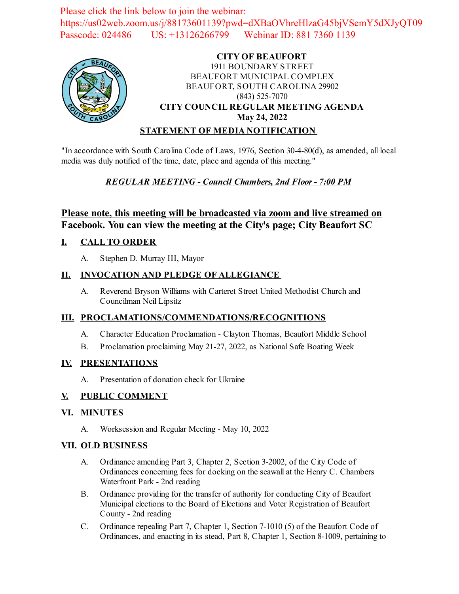Please click the link below to join the webinar: https://us02web.zoom.us/j/88173601139?pwd=dXBaOVhreHlzaG45bjVSemY5dXJyQT09 Passcode: 024486 US: +13126266799 Webinar ID: 881 7360 1139



# **CITY OF BEAUFORT** 1911 BOUNDARY STREET BEAUFORT MUNICIPAL COMPLEX BEAUFORT, SOUTH CAROLINA 29902 (843) 525-7070 **CITY COUNCIL REGULAR MEETING AGENDA May 24, 2022**

#### **STATEMENT OF MEDIA NOTIFICATION**

"In accordance with South Carolina Code of Laws, 1976, Section 30-4-80(d), as amended, all local media was duly notified of the time, date, place and agenda of this meeting."

## *REGULAR MEETING - Council Chambers, 2nd Floor - 7:00 PM*

# **Please note, this meeting will be broadcasted via zoom and live streamed on Facebook. You can view the meeting at the City's page; City Beaufort SC**

## **I. CALL TO ORDER**

A. Stephen D. Murray III, Mayor

## **II. INVOCATION AND PLEDGE OF ALLEGIANCE**

A. Reverend Bryson Williams with Carteret Street United Methodist Church and Councilman Neil Lipsitz

## **III. PROCLAMATIONS/COMMENDATIONS/RECOGNITIONS**

- A. Character Education Proclamation Clayton Thomas, Beaufort Middle School
- B. [Proclamation proclaiming May 21-27, 2022, as National Safe Boating Week](file:///C:/Windows/TEMP/CoverSheet.aspx?ItemID=2517&MeetingID=360)

#### **IV. PRESENTATIONS**

A. Presentation of donation check for Ukraine

#### **V. PUBLIC COMMENT**

#### **VI. MINUTES**

A. Worksession and Regular Meeting - May 10, 2022

## **VII. OLD BUSINESS**

- A. Ordinance amending Part 3, Chapter 2, Section 3-2002, of the City Code of [Ordinances concerning fees for docking on the seawall at the Henry C. Chambers](file:///C:/Windows/TEMP/CoverSheet.aspx?ItemID=2523&MeetingID=360) Waterfront Park - 2nd reading
- B. [Ordinance providing for the transfer of authority for conducting City of Beaufort](file:///C:/Windows/TEMP/CoverSheet.aspx?ItemID=2524&MeetingID=360) Municipal elections to the Board of Elections and Voter Registration of Beaufort County - 2nd reading
- C. Ordinance repealing Part 7, Chapter 1, Section 7-1010 (5) of the Beaufort Code of [Ordinances, and enacting in its stead, Part 8, Chapter 1, Section 8-1009, pertaining to](file:///C:/Windows/TEMP/CoverSheet.aspx?ItemID=2527&MeetingID=360)